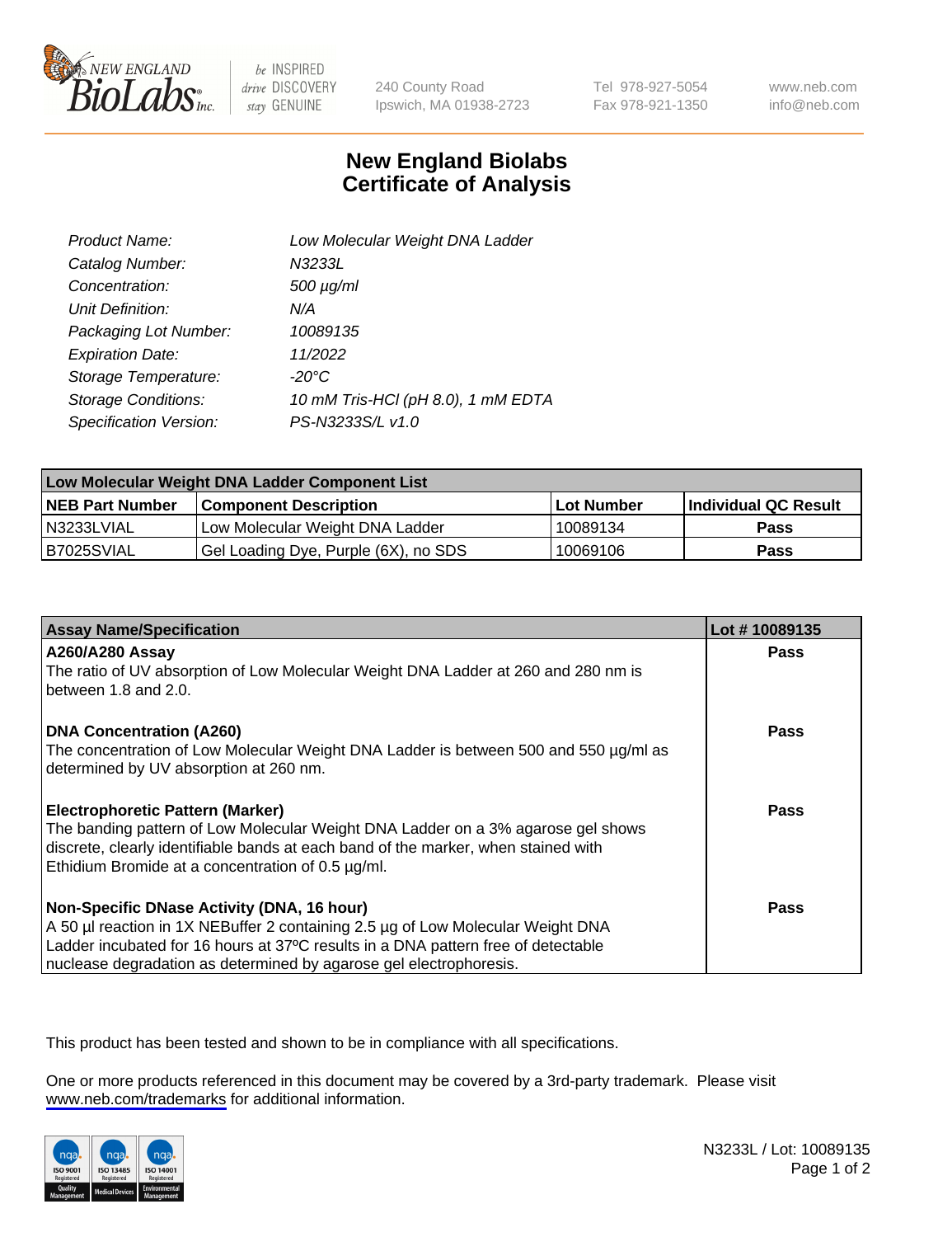

be INSPIRED drive DISCOVERY stay GENUINE

240 County Road Ipswich, MA 01938-2723 Tel 978-927-5054 Fax 978-921-1350

www.neb.com info@neb.com

## **New England Biolabs Certificate of Analysis**

| Product Name:           | Low Molecular Weight DNA Ladder    |
|-------------------------|------------------------------------|
| Catalog Number:         | N3233L                             |
| Concentration:          | $500 \mu g/ml$                     |
| Unit Definition:        | N/A                                |
| Packaging Lot Number:   | 10089135                           |
| <b>Expiration Date:</b> | 11/2022                            |
| Storage Temperature:    | $-20^{\circ}$ C                    |
| Storage Conditions:     | 10 mM Tris-HCl (pH 8.0), 1 mM EDTA |
| Specification Version:  | PS-N3233S/L v1.0                   |

| Low Molecular Weight DNA Ladder Component List |                                      |            |                      |  |
|------------------------------------------------|--------------------------------------|------------|----------------------|--|
| <b>NEB Part Number</b>                         | <b>Component Description</b>         | Lot Number | Individual QC Result |  |
| N3233LVIAL                                     | Low Molecular Weight DNA Ladder      | 10089134   | <b>Pass</b>          |  |
| B7025SVIAL                                     | Gel Loading Dye, Purple (6X), no SDS | 10069106   | <b>Pass</b>          |  |

| <b>Assay Name/Specification</b>                                                                                                         | Lot #10089135 |
|-----------------------------------------------------------------------------------------------------------------------------------------|---------------|
| A260/A280 Assay                                                                                                                         | <b>Pass</b>   |
| The ratio of UV absorption of Low Molecular Weight DNA Ladder at 260 and 280 nm is<br>between 1.8 and 2.0.                              |               |
| <b>DNA Concentration (A260)</b>                                                                                                         | Pass          |
| The concentration of Low Molecular Weight DNA Ladder is between 500 and 550 µg/ml as<br>determined by UV absorption at 260 nm.          |               |
| <b>Electrophoretic Pattern (Marker)</b>                                                                                                 | Pass          |
| The banding pattern of Low Molecular Weight DNA Ladder on a 3% agarose gel shows                                                        |               |
| discrete, clearly identifiable bands at each band of the marker, when stained with<br>Ethidium Bromide at a concentration of 0.5 µg/ml. |               |
| Non-Specific DNase Activity (DNA, 16 hour)                                                                                              | Pass          |
| A 50 µl reaction in 1X NEBuffer 2 containing 2.5 µg of Low Molecular Weight DNA                                                         |               |
| Ladder incubated for 16 hours at 37°C results in a DNA pattern free of detectable                                                       |               |
| nuclease degradation as determined by agarose gel electrophoresis.                                                                      |               |

This product has been tested and shown to be in compliance with all specifications.

One or more products referenced in this document may be covered by a 3rd-party trademark. Please visit <www.neb.com/trademarks>for additional information.